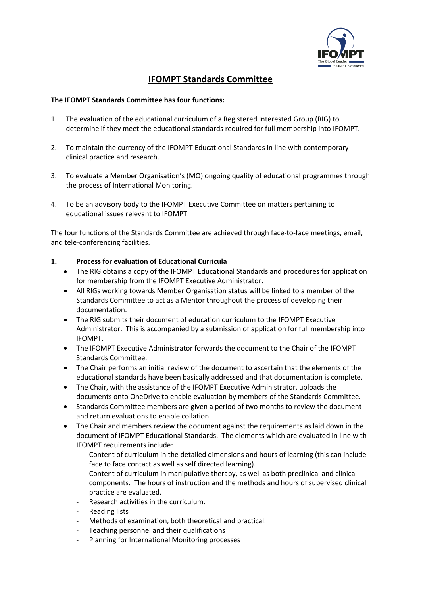

# **IFOMPT Standards Committee**

#### **The IFOMPT Standards Committee has four functions:**

- 1. The evaluation of the educational curriculum of a Registered Interested Group (RIG) to determine if they meet the educational standards required for full membership into IFOMPT.
- 2. To maintain the currency of the IFOMPT Educational Standards in line with contemporary clinical practice and research.
- 3. To evaluate a Member Organisation's (MO) ongoing quality of educational programmes through the process of International Monitoring.
- 4. To be an advisory body to the IFOMPT Executive Committee on matters pertaining to educational issues relevant to IFOMPT.

The four functions of the Standards Committee are achieved through face-to-face meetings, email, and tele-conferencing facilities.

#### **1. Process for evaluation of Educational Curricula**

- The RIG obtains a copy of the IFOMPT Educational Standards and procedures for application for membership from the IFOMPT Executive Administrator.
- All RIGs working towards Member Organisation status will be linked to a member of the Standards Committee to act as a Mentor throughout the process of developing their documentation.
- The RIG submits their document of education curriculum to the IFOMPT Executive Administrator. This is accompanied by a submission of application for full membership into IFOMPT.
- The IFOMPT Executive Administrator forwards the document to the Chair of the IFOMPT Standards Committee.
- The Chair performs an initial review of the document to ascertain that the elements of the educational standards have been basically addressed and that documentation is complete.
- The Chair, with the assistance of the IFOMPT Executive Administrator, uploads the documents onto OneDrive to enable evaluation by members of the Standards Committee.
- Standards Committee members are given a period of two months to review the document and return evaluations to enable collation.
- The Chair and members review the document against the requirements as laid down in the document of IFOMPT Educational Standards. The elements which are evaluated in line with IFOMPT requirements include:
	- Content of curriculum in the detailed dimensions and hours of learning (this can include face to face contact as well as self directed learning).
	- Content of curriculum in manipulative therapy, as well as both preclinical and clinical components. The hours of instruction and the methods and hours of supervised clinical practice are evaluated.
	- Research activities in the curriculum.
	- Reading lists
	- Methods of examination, both theoretical and practical.
	- Teaching personnel and their qualifications
	- Planning for International Monitoring processes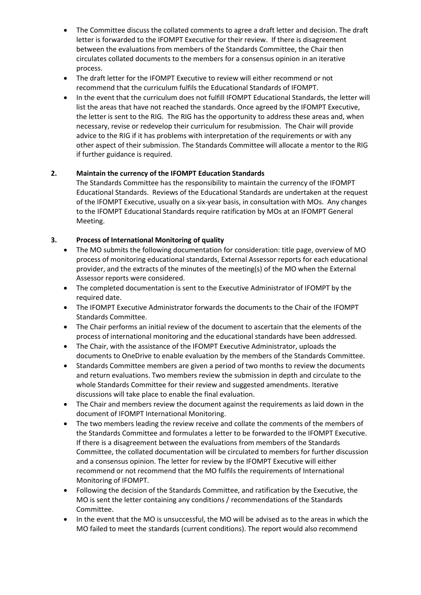- The Committee discuss the collated comments to agree a draft letter and decision. The draft letter is forwarded to the IFOMPT Executive for their review. If there is disagreement between the evaluations from members of the Standards Committee, the Chair then circulates collated documents to the members for a consensus opinion in an iterative process.
- The draft letter for the IFOMPT Executive to review will either recommend or not recommend that the curriculum fulfils the Educational Standards of IFOMPT.
- In the event that the curriculum does not fulfill IFOMPT Educational Standards, the letter will list the areas that have not reached the standards. Once agreed by the IFOMPT Executive, the letter is sent to the RIG. The RIG has the opportunity to address these areas and, when necessary, revise or redevelop their curriculum for resubmission. The Chair will provide advice to the RIG if it has problems with interpretation of the requirements or with any other aspect of their submission. The Standards Committee will allocate a mentor to the RIG if further guidance is required.

## **2. Maintain the currency of the IFOMPT Education Standards**

The Standards Committee has the responsibility to maintain the currency of the IFOMPT Educational Standards. Reviews of the Educational Standards are undertaken at the request of the IFOMPT Executive, usually on a six-year basis, in consultation with MOs. Any changes to the IFOMPT Educational Standards require ratification by MOs at an IFOMPT General Meeting.

## **3. Process of International Monitoring of quality**

- The MO submits the following documentation for consideration: title page, overview of MO process of monitoring educational standards, External Assessor reports for each educational provider, and the extracts of the minutes of the meeting(s) of the MO when the External Assessor reports were considered.
- The completed documentation is sent to the Executive Administrator of IFOMPT by the required date.
- The IFOMPT Executive Administrator forwards the documents to the Chair of the IFOMPT Standards Committee.
- The Chair performs an initial review of the document to ascertain that the elements of the process of international monitoring and the educational standards have been addressed.
- The Chair, with the assistance of the IFOMPT Executive Administrator, uploads the documents to OneDrive to enable evaluation by the members of the Standards Committee.
- Standards Committee members are given a period of two months to review the documents and return evaluations. Two members review the submission in depth and circulate to the whole Standards Committee for their review and suggested amendments. Iterative discussions will take place to enable the final evaluation.
- The Chair and members review the document against the requirements as laid down in the document of IFOMPT International Monitoring.
- The two members leading the review receive and collate the comments of the members of the Standards Committee and formulates a letter to be forwarded to the IFOMPT Executive. If there is a disagreement between the evaluations from members of the Standards Committee, the collated documentation will be circulated to members for further discussion and a consensus opinion. The letter for review by the IFOMPT Executive will either recommend or not recommend that the MO fulfils the requirements of International Monitoring of IFOMPT.
- Following the decision of the Standards Committee, and ratification by the Executive, the MO is sent the letter containing any conditions / recommendations of the Standards Committee.
- In the event that the MO is unsuccessful, the MO will be advised as to the areas in which the MO failed to meet the standards (current conditions). The report would also recommend